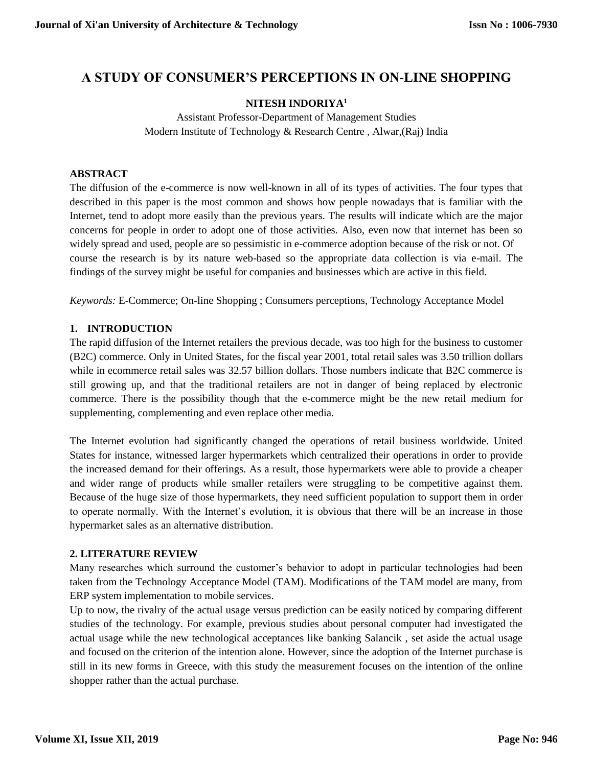# **A STUDY OF CONSUMER'S PERCEPTIONS IN ON-LINE SHOPPING**

# **NITESH INDORIYA<sup>1</sup>**

Assistant Professor-Department of Management Studies Modern Institute of Technology & Research Centre , Alwar,(Raj) India

#### **ABSTRACT**

The diffusion of the e-commerce is now well-known in all of its types of activities. The four types that described in this paper is the most common and shows how people nowadays that is familiar with the Internet, tend to adopt more easily than the previous years. The results will indicate which are the major concerns for people in order to adopt one of those activities. Also, even now that internet has been so widely spread and used, people are so pessimistic in e-commerce adoption because of the risk or not. Of course the research is by its nature web-based so the appropriate data collection is via e-mail. The findings of the survey might be useful for companies and businesses which are active in this field.

*Keywords:* E-Commerce; On-line Shopping ; Consumers perceptions, Technology Acceptance Model

# **1. INTRODUCTION**

The rapid diffusion of the Internet retailers the previous decade, was too high for the business to customer (B2C) commerce. Only in United States, for the fiscal year 2001, total retail sales was 3.50 trillion dollars while in ecommerce retail sales was 32.57 billion dollars. Those numbers indicate that B2C commerce is still growing up, and that the traditional retailers are not in danger of being replaced by electronic commerce. There is the possibility though that the e-commerce might be the new retail medium for supplementing, complementing and even replace other media.

The Internet evolution had significantly changed the operations of retail business worldwide. United States for instance, witnessed larger hypermarkets which centralized their operations in order to provide the increased demand for their offerings. As a result, those hypermarkets were able to provide a cheaper and wider range of products while smaller retailers were struggling to be competitive against them. Because of the huge size of those hypermarkets, they need sufficient population to support them in order to operate normally. With the Internet's evolution, it is obvious that there will be an increase in those hypermarket sales as an alternative distribution.

# **2. LITERATURE REVIEW**

Many researches which surround the customer's behavior to adopt in particular technologies had been taken from the Technology Acceptance Model (TAM). Modifications of the TAM model are many, from ERP system implementation to mobile services.

Up to now, the rivalry of the actual usage versus prediction can be easily noticed by comparing different studies of the technology. For example, previous studies about personal computer had investigated the actual usage while the new technological acceptances like banking Salancik , set aside the actual usage and focused on the criterion of the intention alone. However, since the adoption of the Internet purchase is still in its new forms in Greece, with this study the measurement focuses on the intention of the online shopper rather than the actual purchase.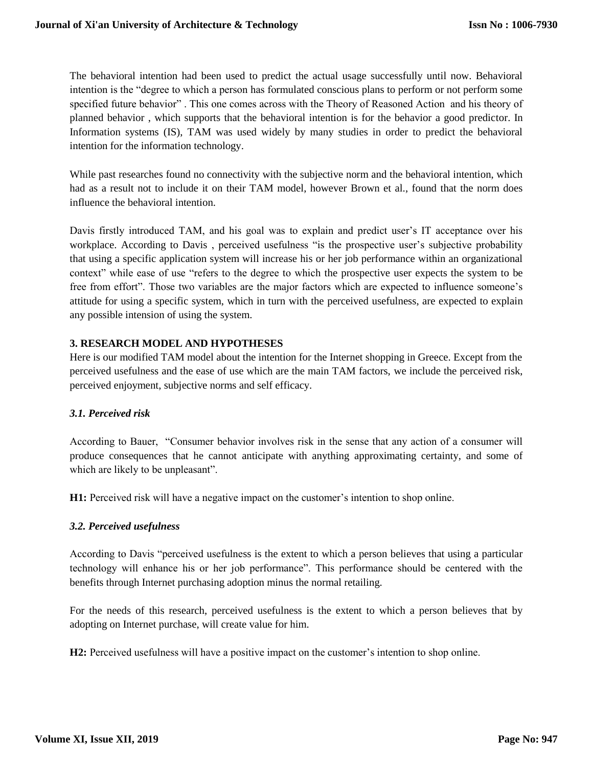The behavioral intention had been used to predict the actual usage successfully until now. Behavioral intention is the "degree to which a person has formulated conscious plans to perform or not perform some specified future behavior" . This one comes across with the Theory of Reasoned Action and his theory of planned behavior , which supports that the behavioral intention is for the behavior a good predictor. In Information systems (IS), TAM was used widely by many studies in order to predict the behavioral intention for the information technology.

While past researches found no connectivity with the subjective norm and the behavioral intention, which had as a result not to include it on their TAM model, however Brown et al., found that the norm does influence the behavioral intention.

Davis firstly introduced TAM, and his goal was to explain and predict user's IT acceptance over his workplace. According to Davis , perceived usefulness "is the prospective user's subjective probability that using a specific application system will increase his or her job performance within an organizational context" while ease of use "refers to the degree to which the prospective user expects the system to be free from effort". Those two variables are the major factors which are expected to influence someone's attitude for using a specific system, which in turn with the perceived usefulness, are expected to explain any possible intension of using the system.

# **3. RESEARCH MODEL AND HYPOTHESES**

Here is our modified TAM model about the intention for the Internet shopping in Greece. Except from the perceived usefulness and the ease of use which are the main TAM factors, we include the perceived risk, perceived enjoyment, subjective norms and self efficacy.

#### *3.1. Perceived risk*

According to Bauer, "Consumer behavior involves risk in the sense that any action of a consumer will produce consequences that he cannot anticipate with anything approximating certainty, and some of which are likely to be unpleasant".

**H1:** Perceived risk will have a negative impact on the customer's intention to shop online.

#### *3.2. Perceived usefulness*

According to Davis "perceived usefulness is the extent to which a person believes that using a particular technology will enhance his or her job performance". This performance should be centered with the benefits through Internet purchasing adoption minus the normal retailing.

For the needs of this research, perceived usefulness is the extent to which a person believes that by adopting on Internet purchase, will create value for him.

**H2:** Perceived usefulness will have a positive impact on the customer's intention to shop online.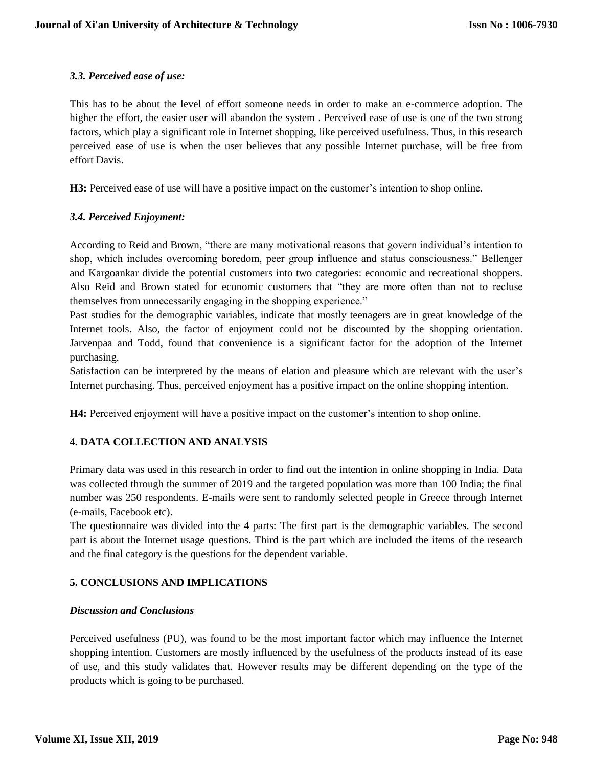# *3.3. Perceived ease of use:*

This has to be about the level of effort someone needs in order to make an e-commerce adoption. The higher the effort, the easier user will abandon the system . Perceived ease of use is one of the two strong factors, which play a significant role in Internet shopping, like perceived usefulness. Thus, in this research perceived ease of use is when the user believes that any possible Internet purchase, will be free from effort Davis.

**H3:** Perceived ease of use will have a positive impact on the customer's intention to shop online.

# *3.4. Perceived Enjoyment:*

According to Reid and Brown, "there are many motivational reasons that govern individual's intention to shop, which includes overcoming boredom, peer group influence and status consciousness." Bellenger and Kargoankar divide the potential customers into two categories: economic and recreational shoppers. Also Reid and Brown stated for economic customers that "they are more often than not to recluse themselves from unnecessarily engaging in the shopping experience."

Past studies for the demographic variables, indicate that mostly teenagers are in great knowledge of the Internet tools. Also, the factor of enjoyment could not be discounted by the shopping orientation. Jarvenpaa and Todd, found that convenience is a significant factor for the adoption of the Internet purchasing.

Satisfaction can be interpreted by the means of elation and pleasure which are relevant with the user's Internet purchasing. Thus, perceived enjoyment has a positive impact on the online shopping intention.

**H4:** Perceived enjoyment will have a positive impact on the customer's intention to shop online.

# **4. DATA COLLECTION AND ANALYSIS**

Primary data was used in this research in order to find out the intention in online shopping in India. Data was collected through the summer of 2019 and the targeted population was more than 100 India; the final number was 250 respondents. E-mails were sent to randomly selected people in Greece through Internet (e-mails, Facebook etc).

The questionnaire was divided into the 4 parts: The first part is the demographic variables. The second part is about the Internet usage questions. Third is the part which are included the items of the research and the final category is the questions for the dependent variable.

# **5. CONCLUSIONS AND IMPLICATIONS**

#### *Discussion and Conclusions*

Perceived usefulness (PU), was found to be the most important factor which may influence the Internet shopping intention. Customers are mostly influenced by the usefulness of the products instead of its ease of use, and this study validates that. However results may be different depending on the type of the products which is going to be purchased.